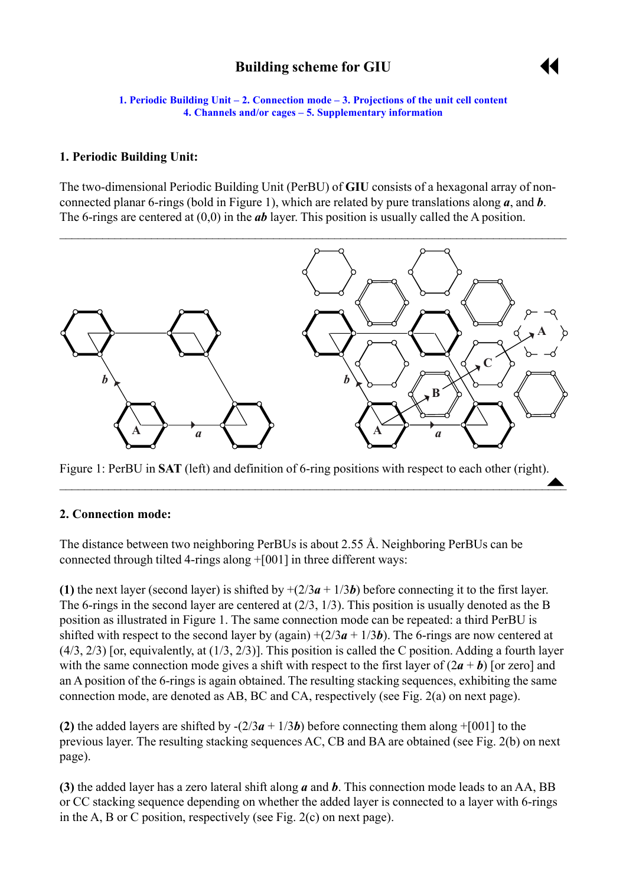# **Building scheme for GIU**



<span id="page-0-0"></span>**1. Periodic Building Unit – 2. Connection mode – [3. Projections of the unit cell content](#page-2-0) [4. Channels and/or cages](#page-2-0) ñ [5. Supplementary information](#page-4-0)**

#### **1. Periodic Building Unit:**

The two-dimensional Periodic Building Unit (PerBU) of **GIU** consists of a hexagonal array of nonconnected planar 6-rings (bold in Figure 1), which are related by pure translations along *a*, and *b*. The 6-rings are centered at (0,0) in the *ab* layer. This position is usually called the A position.



Figure 1: PerBU in **SAT** (left) and definition of 6-ring positions with respect to each other (right).  $\stackrel{\cdot}{\bullet}$ 

 $\blacktriangle$  , and the contribution of the contribution of the contribution of the contribution of  $\blacktriangle$ 

#### **2. Connection mode:**

The distance between two neighboring PerBUs is about 2.55 Å. Neighboring PerBUs can be connected through tilted 4-rings along +[001] in three different ways:

**(1)** the next layer (second layer) is shifted by  $+(2/3a + 1/3b)$  before connecting it to the first layer. The 6-rings in the second layer are centered at (2/3, 1/3). This position is usually denoted as the B position as illustrated in Figure 1. The same connection mode can be repeated: a third PerBU is shifted with respect to the second layer by (again)  $+(2/3a + 1/3b)$ . The 6-rings are now centered at  $(4/3, 2/3)$  [or, equivalently, at  $(1/3, 2/3)$ ]. This position is called the C position. Adding a fourth layer with the same connection mode gives a shift with respect to the first layer of  $(2a + b)$  [or zero] and an A position of the 6-rings is again obtained. The resulting stacking sequences, exhibiting the same connection mode, are denoted as AB, BC and CA, respectively (see Fig. 2(a) on next page).

**(2)** the added layers are shifted by  $-(2/3a + 1/3b)$  before connecting them along +[001] to the previous layer. The resulting stacking sequences AC, CB and BA are obtained (see Fig. 2(b) on next page).

**(3)** the added layer has a zero lateral shift along *a* and *b*. This connection mode leads to an AA, BB or CC stacking sequence depending on whether the added layer is connected to a layer with 6-rings in the A, B or C position, respectively (see Fig. 2(c) on next page).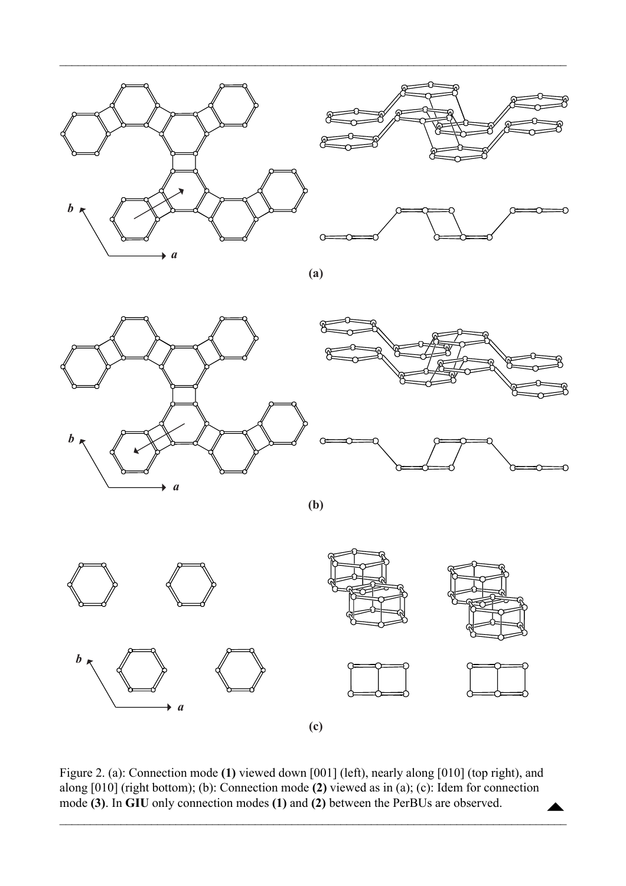



**(a)**

 $\mathcal{L}_\mathcal{L} = \{ \mathcal{L}_\mathcal{L} = \{ \mathcal{L}_\mathcal{L} = \{ \mathcal{L}_\mathcal{L} = \{ \mathcal{L}_\mathcal{L} = \{ \mathcal{L}_\mathcal{L} = \{ \mathcal{L}_\mathcal{L} = \{ \mathcal{L}_\mathcal{L} = \{ \mathcal{L}_\mathcal{L} = \{ \mathcal{L}_\mathcal{L} = \{ \mathcal{L}_\mathcal{L} = \{ \mathcal{L}_\mathcal{L} = \{ \mathcal{L}_\mathcal{L} = \{ \mathcal{L}_\mathcal{L} = \{ \mathcal{L}_\mathcal{$ 



**(b)**



Figure 2. (a): Connection mode **(1)** viewed down [001] (left), nearly along [010] (top right), and along [010] (right bottom); (b): Connection mode **(2)** viewed as in (a); (c): Idem for connection mode **(3)**. In **GIU** only connection modes **(1)** and **(2)** between the PerBUs are observed.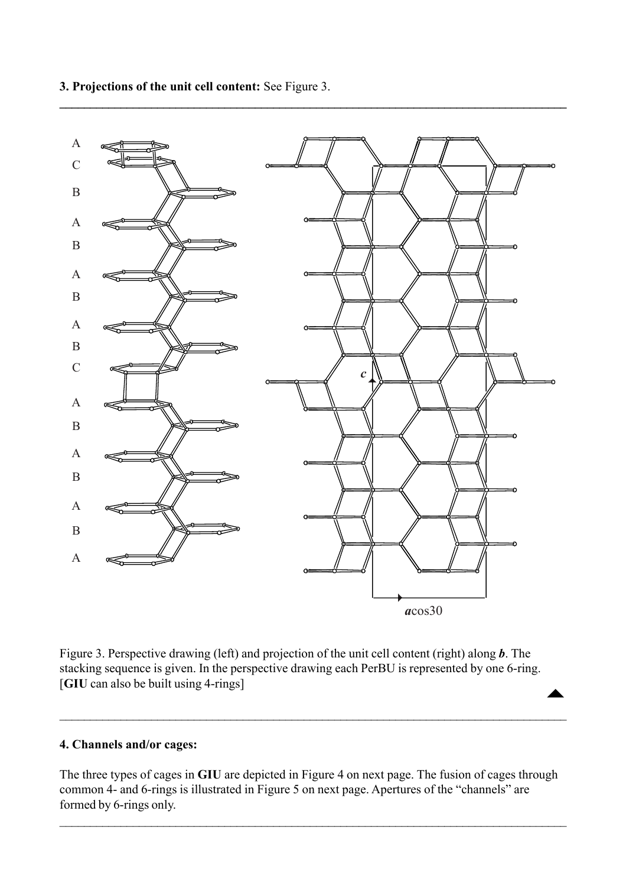

<span id="page-2-0"></span>**3. Projections of the unit cell content:** See Figure 3.

Figure 3. Perspective drawing (left) and projection of the unit cell content (right) along *b*. The stacking sequence is given. In the perspective drawing each PerBU is represented by one 6-ring. [**GIU** can also be built using 4-rings]  $\begin{array}{c}\n\blacktriangle\n\end{array}$ 

## **4. Channels and/or cages:**

The three types of cages in **GIU** are depicted in Figure 4 on next page. The fusion of cages through common 4- and 6-rings is illustrated in Figure 5 on next page. Apertures of the "channels" are formed by 6-rings only.

 $\mathcal{L}_\mathcal{L} = \mathcal{L}_\mathcal{L} = \mathcal{L}_\mathcal{L} = \mathcal{L}_\mathcal{L} = \mathcal{L}_\mathcal{L} = \mathcal{L}_\mathcal{L} = \mathcal{L}_\mathcal{L} = \mathcal{L}_\mathcal{L} = \mathcal{L}_\mathcal{L} = \mathcal{L}_\mathcal{L} = \mathcal{L}_\mathcal{L} = \mathcal{L}_\mathcal{L} = \mathcal{L}_\mathcal{L} = \mathcal{L}_\mathcal{L} = \mathcal{L}_\mathcal{L} = \mathcal{L}_\mathcal{L} = \mathcal{L}_\mathcal{L}$ 

 $\mathcal{L}_\mathcal{L} = \mathcal{L}_\mathcal{L} = \mathcal{L}_\mathcal{L} = \mathcal{L}_\mathcal{L} = \mathcal{L}_\mathcal{L} = \mathcal{L}_\mathcal{L} = \mathcal{L}_\mathcal{L} = \mathcal{L}_\mathcal{L} = \mathcal{L}_\mathcal{L} = \mathcal{L}_\mathcal{L} = \mathcal{L}_\mathcal{L} = \mathcal{L}_\mathcal{L} = \mathcal{L}_\mathcal{L} = \mathcal{L}_\mathcal{L} = \mathcal{L}_\mathcal{L} = \mathcal{L}_\mathcal{L} = \mathcal{L}_\mathcal{L}$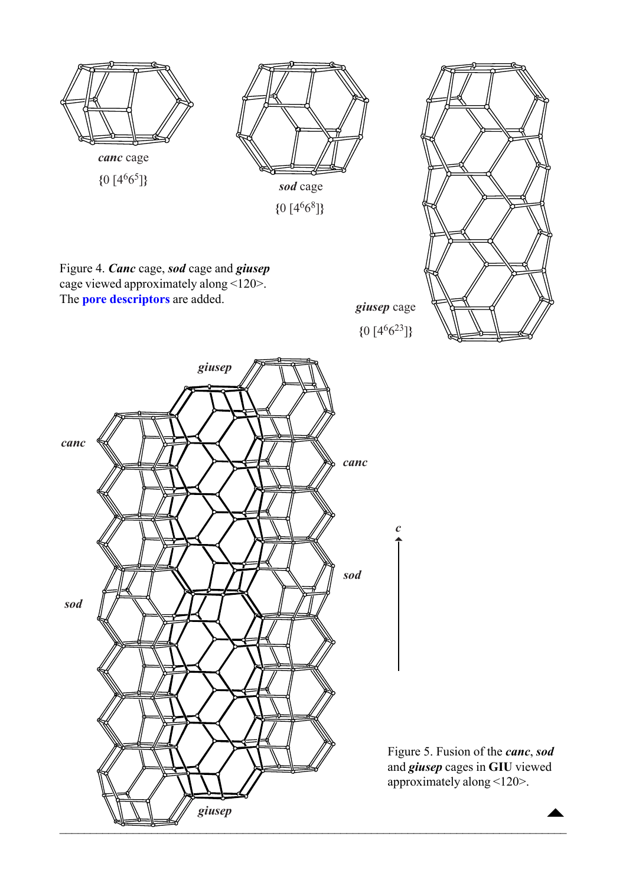